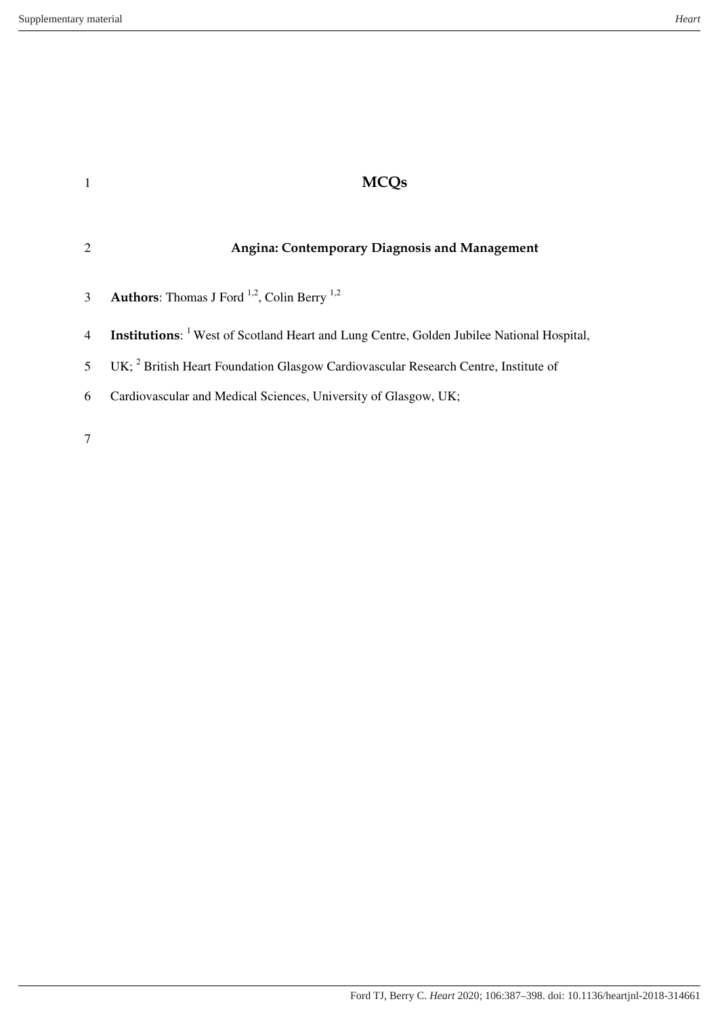| $\overline{1}$ |                                                                                                             |
|----------------|-------------------------------------------------------------------------------------------------------------|
|                | <b>Angina: Contemporary Diagnosis and Management</b>                                                        |
| 3              | <b>Authors:</b> Thomas J Ford $^{1,2}$ , Colin Berry $^{1,2}$                                               |
| $\overline{4}$ | <b>Institutions:</b> <sup>1</sup> West of Scotland Heart and Lung Centre, Golden Jubilee National Hospital, |
| 5              | UK; <sup>2</sup> British Heart Foundation Glasgow Cardiovascular Research Centre, Institute of              |
| 6              | Cardiovascular and Medical Sciences, University of Glasgow, UK;                                             |
|                |                                                                                                             |

7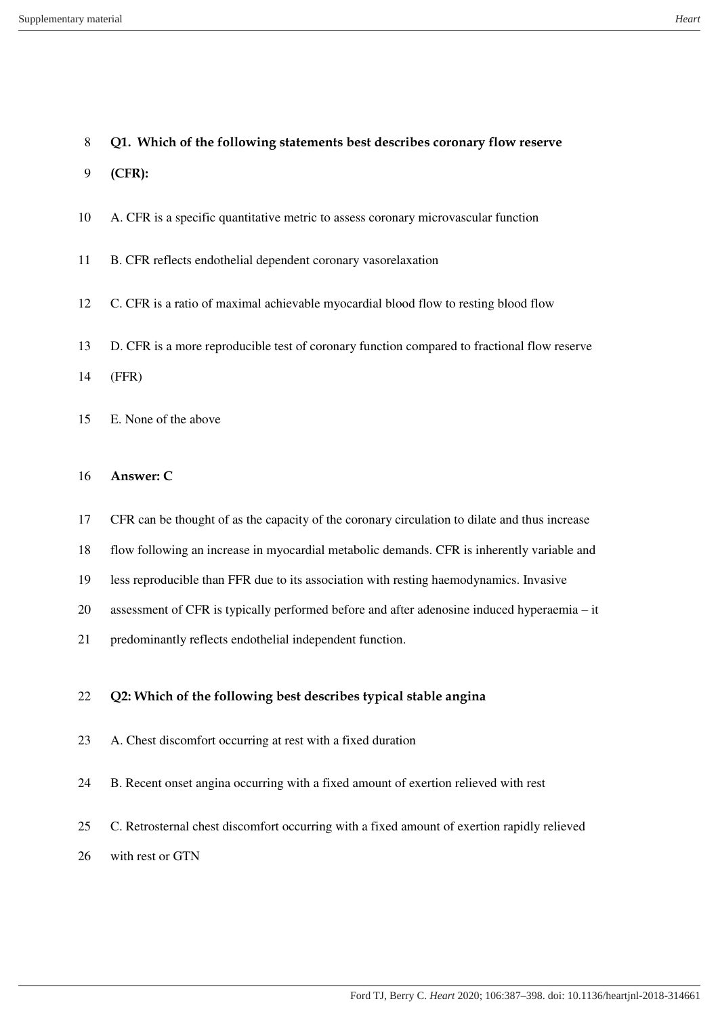## **Q1. Which of the following statements best describes coronary flow reserve**

- **(CFR):**
- A. CFR is a specific quantitative metric to assess coronary microvascular function
- B. CFR reflects endothelial dependent coronary vasorelaxation
- C. CFR is a ratio of maximal achievable myocardial blood flow to resting blood flow
- D. CFR is a more reproducible test of coronary function compared to fractional flow reserve
- (FFR)
- E. None of the above
- **Answer: C**
- CFR can be thought of as the capacity of the coronary circulation to dilate and thus increase
- flow following an increase in myocardial metabolic demands. CFR is inherently variable and
- less reproducible than FFR due to its association with resting haemodynamics. Invasive
- assessment of CFR is typically performed before and after adenosine induced hyperaemia it
- predominantly reflects endothelial independent function.

### **Q2: Which of the following best describes typical stable angina**

- A. Chest discomfort occurring at rest with a fixed duration
- B. Recent onset angina occurring with a fixed amount of exertion relieved with rest
- C. Retrosternal chest discomfort occurring with a fixed amount of exertion rapidly relieved
- with rest or GTN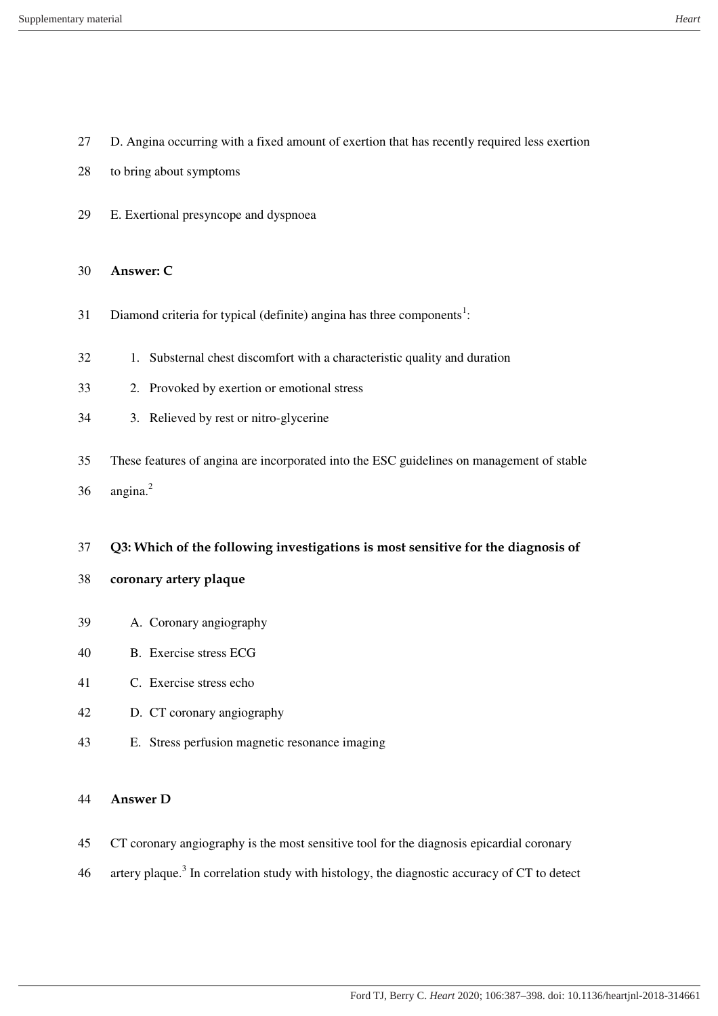- D. Angina occurring with a fixed amount of exertion that has recently required less exertion
- to bring about symptoms
- E. Exertional presyncope and dyspnoea

#### **Answer: C**

- 31 Diamond criteria for typical (definite) angina has three components<sup>1</sup>:
- 1. Substernal chest discomfort with a characteristic quality and duration
- 2. Provoked by exertion or emotional stress
- 3. Relieved by rest or nitro-glycerine
- These features of angina are incorporated into the ESC guidelines on management of stable
- angina.<sup>2</sup>

### **Q3: Which of the following investigations is most sensitive for the diagnosis of**

- **coronary artery plaque**
- A. Coronary angiography
- B. Exercise stress ECG
- C. Exercise stress echo
- D. CT coronary angiography
- E. Stress perfusion magnetic resonance imaging

### **Answer D**

- CT coronary angiography is the most sensitive tool for the diagnosis epicardial coronary
- 46 artery plaque.<sup>3</sup> In correlation study with histology, the diagnostic accuracy of CT to detect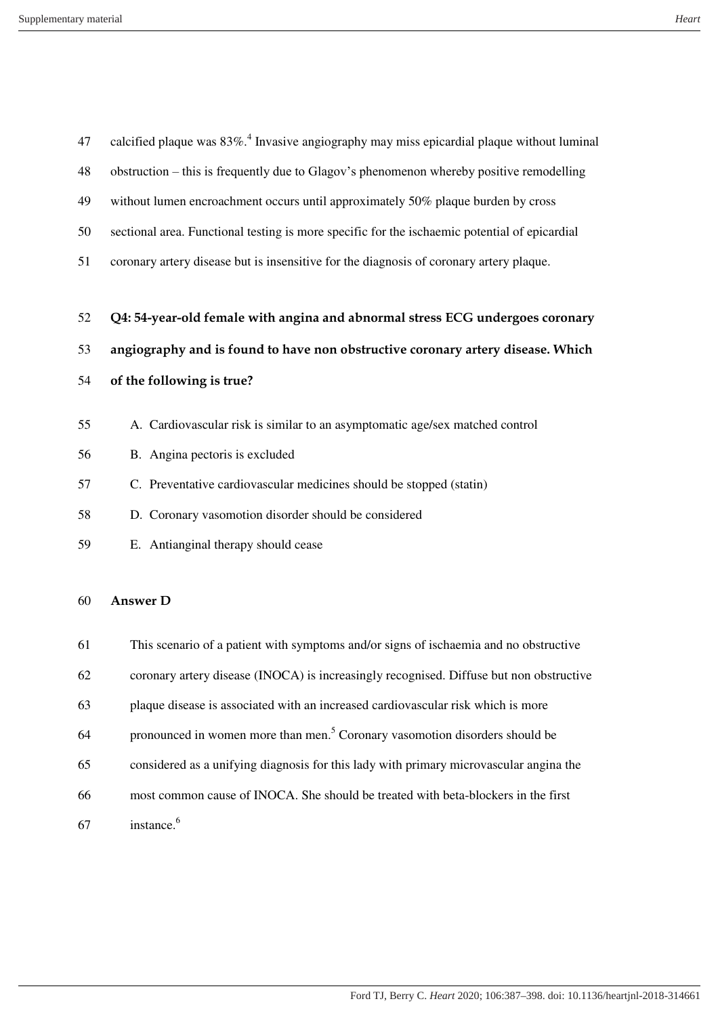| 47 | calcified plaque was $83\%$ <sup>4</sup> . Invasive angiography may miss epicardial plaque without luminal |
|----|------------------------------------------------------------------------------------------------------------|
| 48 | obstruction – this is frequently due to Glagov's phenomenon whereby positive remodelling                   |
| 49 | without lumen encroachment occurs until approximately 50% plaque burden by cross                           |
| 50 | sectional area. Functional testing is more specific for the ischaemic potential of epicardial              |
| 51 | coronary artery disease but is insensitive for the diagnosis of coronary artery plaque.                    |
|    |                                                                                                            |
| 52 | Q4: 54-year-old female with angina and abnormal stress ECG undergoes coronary                              |
| 53 | angiography and is found to have non obstructive coronary artery disease. Which                            |
| 54 | of the following is true?                                                                                  |
| 55 | A. Cardiovascular risk is similar to an asymptomatic age/sex matched control                               |
| 56 | B. Angina pectoris is excluded                                                                             |
| 57 | C. Preventative cardiovascular medicines should be stopped (statin)                                        |
| 58 | D. Coronary vasomotion disorder should be considered                                                       |
| 59 | E. Antianginal therapy should cease                                                                        |
|    |                                                                                                            |
| 60 | <b>Answer D</b>                                                                                            |
| 61 | This scenario of a patient with symptoms and/or signs of ischaemia and no obstructive                      |
| 62 | coronary artery disease (INOCA) is increasingly recognised. Diffuse but non obstructive                    |
| 63 | plaque disease is associated with an increased cardiovascular risk which is more                           |

- 64 pronounced in women more than men.<sup>5</sup> Coronary vasomotion disorders should be
- considered as a unifying diagnosis for this lady with primary microvascular angina the
- most common cause of INOCA. She should be treated with beta-blockers in the first
- instance.<sup>6</sup>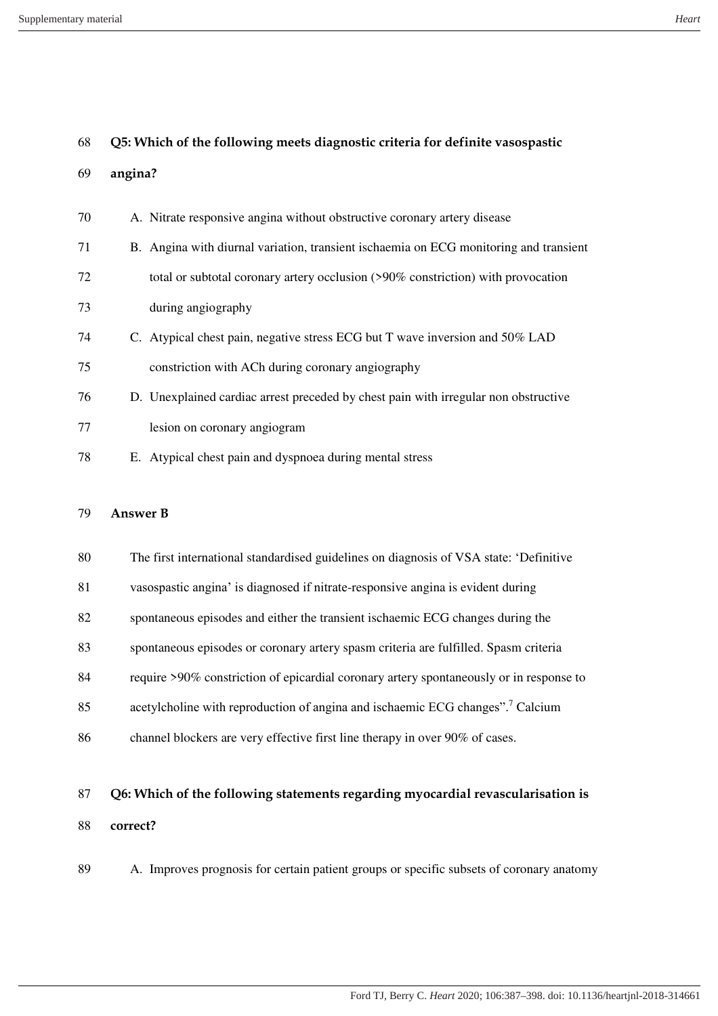#### Supplementary material *Heart*

| 68 |         | Q5: Which of the following meets diagnostic criteria for definite vasospastic         |
|----|---------|---------------------------------------------------------------------------------------|
| 69 | angina? |                                                                                       |
| 70 |         | A. Nitrate responsive angina without obstructive coronary artery disease              |
| 71 |         | B. Angina with diurnal variation, transient ischaemia on ECG monitoring and transient |
| 72 |         | total or subtotal coronary artery occlusion (>90% constriction) with provocation      |
| 73 |         | during angiography                                                                    |
| 74 |         | C. Atypical chest pain, negative stress ECG but T wave inversion and 50% LAD          |
| 75 |         | constriction with ACh during coronary angiography                                     |
| 76 |         | D. Unexplained cardiac arrest preceded by chest pain with irregular non obstructive   |
| 77 |         | lesion on coronary angiogram                                                          |
| 78 |         | E. Atypical chest pain and dyspnoea during mental stress                              |
|    |         |                                                                                       |

#### **Answer B**

| 80 | The first international standardised guidelines on diagnosis of VSA state: 'Definitive     |
|----|--------------------------------------------------------------------------------------------|
| 81 | vasospastic angina' is diagnosed if nitrate-responsive angina is evident during            |
| 82 | spontaneous episodes and either the transient is chaemic ECG changes during the            |
| 83 | spontaneous episodes or coronary artery spasm criteria are fulfilled. Spasm criteria       |
| 84 | require >90% constriction of epicardial coronary artery spontaneously or in response to    |
| 85 | acetylcholine with reproduction of angina and ischaemic ECG changes". <sup>7</sup> Calcium |
| 86 | channel blockers are very effective first line therapy in over 90% of cases.               |

# **Q6: Which of the following statements regarding myocardial revascularisation is correct?**

A. Improves prognosis for certain patient groups or specific subsets of coronary anatomy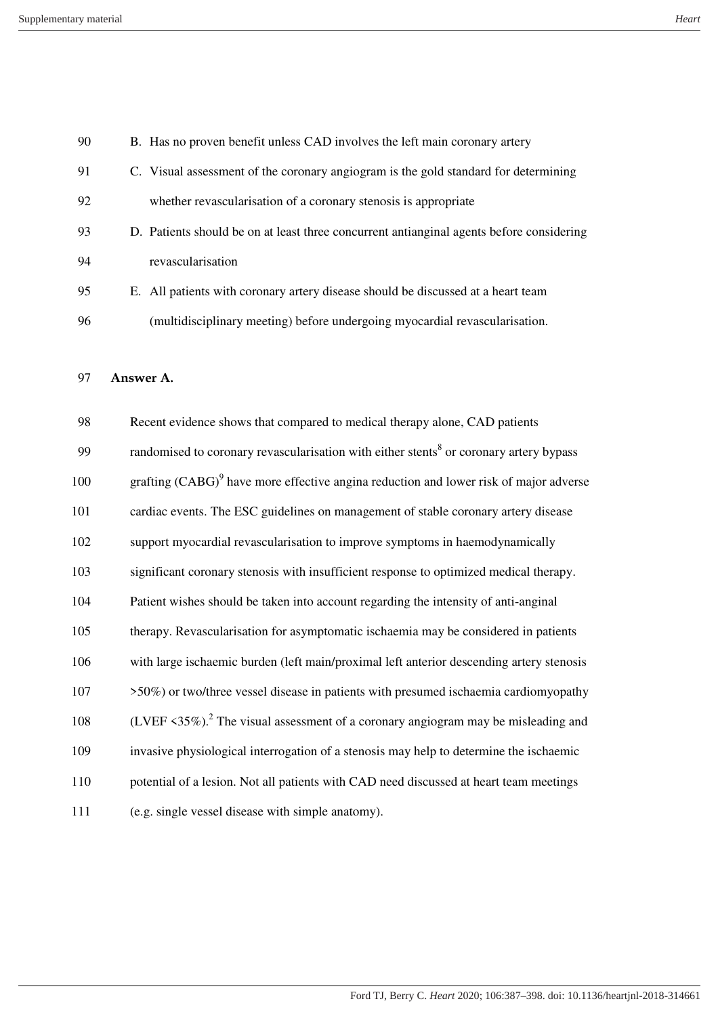| 90  | B. Has no proven benefit unless CAD involves the left main coronary artery                                       |
|-----|------------------------------------------------------------------------------------------------------------------|
| 91  | C. Visual assessment of the coronary angiogram is the gold standard for determining                              |
| 92  | whether revascularisation of a coronary stenosis is appropriate                                                  |
| 93  | D. Patients should be on at least three concurrent antianginal agents before considering                         |
| 94  | revascularisation                                                                                                |
| 95  | E. All patients with coronary artery disease should be discussed at a heart team                                 |
| 96  | (multidisciplinary meeting) before undergoing myocardial revascularisation.                                      |
|     |                                                                                                                  |
| 97  | Answer A.                                                                                                        |
| 98  | Recent evidence shows that compared to medical therapy alone, CAD patients                                       |
| 99  | randomised to coronary revascularisation with either stents <sup>8</sup> or coronary artery bypass               |
| 100 | grafting $(CABG)^9$ have more effective angina reduction and lower risk of major adverse                         |
| 101 | cardiac events. The ESC guidelines on management of stable coronary artery disease                               |
| 102 | support myocardial revascularisation to improve symptoms in haemodynamically                                     |
| 103 | significant coronary stenosis with insufficient response to optimized medical therapy.                           |
| 104 | Patient wishes should be taken into account regarding the intensity of anti-anginal                              |
| 105 | therapy. Revascularisation for asymptomatic ischaemia may be considered in patients                              |
| 106 | with large ischaemic burden (left main/proximal left anterior descending artery stenosis                         |
| 107 | >50%) or two/three vessel disease in patients with presumed ischaemia cardiomyopathy                             |
| 108 | (LVEF $\langle 35\% \rangle$ ). <sup>2</sup> The visual assessment of a coronary angiogram may be misleading and |
| 109 | invasive physiological interrogation of a stenosis may help to determine the ischaemic                           |
| 110 | potential of a lesion. Not all patients with CAD need discussed at heart team meetings                           |
| 111 | (e.g. single vessel disease with simple anatomy).                                                                |
|     |                                                                                                                  |